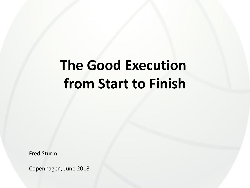# **The Good Execution from Start to Finish**

Fred Sturm

Copenhagen, June 2018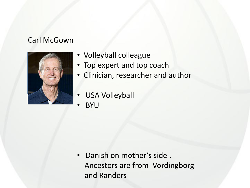#### Carl McGown



- Volleyball colleague
- Top expert and top coach
- Clinician, researcher and author
- USA Volleyball
- BYU

• Danish on mother's side . Ancestors are from Vordingborg and Randers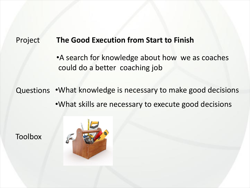#### Project **The Good Execution from Start to Finish**

•A search for knowledge about how we as coaches could do a better coaching job

Questions •What knowledge is necessary to make good decisions •What skills are necessary to execute good decisions

Toolbox

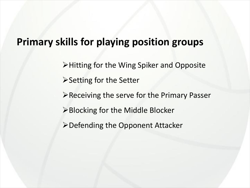#### **Primary skills for playing position groups**

ØHitting for the Wing Spiker and Opposite

- $\triangleright$  Setting for the Setter
- ØReceiving the serve for the Primary Passer
- **≻Blocking for the Middle Blocker**
- $\triangleright$  Defending the Opponent Attacker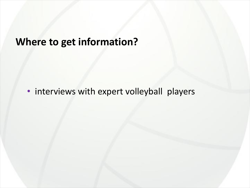### **Where to get information?**

• interviews with expert volleyball players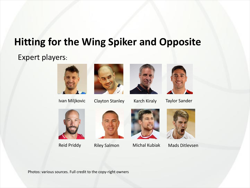### **Hitting for the Wing Spiker and Opposite**

#### Expert players:





Ivan Miljkovic Clayton Stanley Karch Kiraly Taylor Sander











Reid Priddy Riley Salmon Michal Kubiak Mads Ditlevsen

Photos: various sources. Full credit to the copy-right owners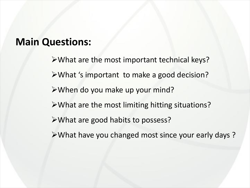#### **Main Questions:**

 $\triangleright$  What are the most important technical keys? ØWhat 's important to make a good decision? ØWhen do you make up your mind?  $\triangleright$  What are the most limiting hitting situations?  $\triangleright$  What are good habits to possess? ØWhat have you changed most since your early days ?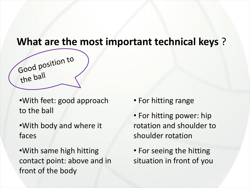#### **What are the most important technical keys** ?

•With feet: good approach to the ball

Good position to

the ball

•With body and where it faces

•With same high hitting contact point: above and in front of the body

- For hitting range
- For hitting power: hip rotation and shoulder to shoulder rotation
- For seeing the hitting situation in front of you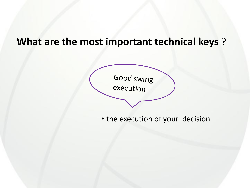### **What are the most important technical keys** ?

Good swing execution

• the execution of your decision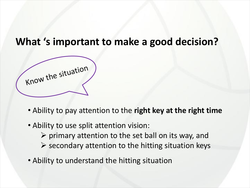#### **What 's important to make a good decision?**

Know the situation

- Ability to pay attention to the **right key at the right time**
- Ability to use split attention vision:
	- $\triangleright$  primary attention to the set ball on its way, and
	- $\triangleright$  secondary attention to the hitting situation keys
- Ability to understand the hitting situation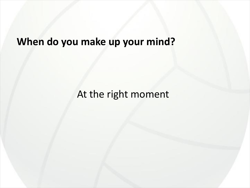# **When do you make up your mind?**

### At the right moment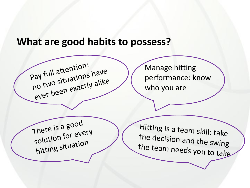#### **What are good habits to possess?**



Manage hitting performance: know who you are

There is <sup>a</sup> good solution for every hitting situation

Hitting is <sup>a</sup> team skill: take the decision and the swing the team needs you to take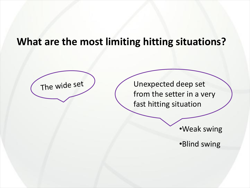#### **What are the most limiting hitting situations?**



The wide set / Vnexpected deep set from the setter in a very fast hitting situation

•Weak swing

•Blind swing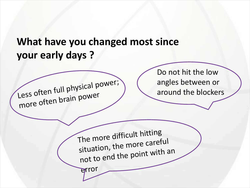### **What have you changed most since your early days ?**

Less often full physical power; more often brain power Do not hit the low angles between or around the blockers The more difficult hitting situation, the more careful not to end the point with an error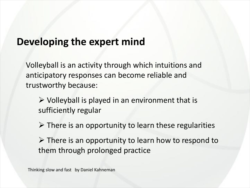#### **Developing the expert mind**

Volleyball is an activity through which intuitions and anticipatory responses can become reliable and trustworthy because:

 $\triangleright$  Volleyball is played in an environment that is sufficiently regular

 $\triangleright$  There is an opportunity to learn these regularities

 $\triangleright$  There is an opportunity to learn how to respond to them through prolonged practice

Thinking slow and fast by Daniel Kahneman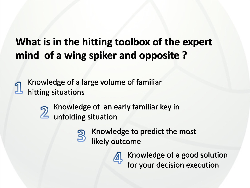## **What is in the hitting toolbox of the expert mind of a wing spiker and opposite ?**

Knowledge of a large volume of familiar hitting situations



Knowledge of an early familiar key in unfolding situation



Knowledge of a good solution for your decision execution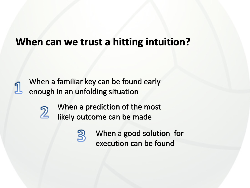#### **When can we trust a hitting intuition?**

When a familiar key can be found early enough in an unfolding situation



When a prediction of the most likely outcome can be made

> When a good solution for execution can be found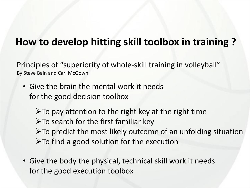### **How to develop hitting skill toolbox in training ?**

Principles of "superiority of whole-skill training in volleyball" By Steve Bain and Carl McGown

• Give the brain the mental work it needs for the good decision toolbox

 $\triangleright$  To pay attention to the right key at the right time  $\triangleright$  To search for the first familiar key  $\triangleright$  To predict the most likely outcome of an unfolding situation  $\triangleright$  To find a good solution for the execution

• Give the body the physical, technical skill work it needs for the good execution toolbox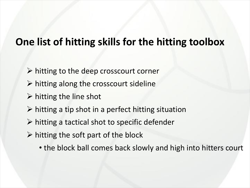### **One list of hitting skills for the hitting toolbox**

- $\triangleright$  hitting to the deep crosscourt corner
- $\triangleright$  hitting along the crosscourt sideline
- $\triangleright$  hitting the line shot
- $\triangleright$  hitting a tip shot in a perfect hitting situation
- $\triangleright$  hitting a tactical shot to specific defender
- $\triangleright$  hitting the soft part of the block
	- the block ball comes back slowly and high into hitters court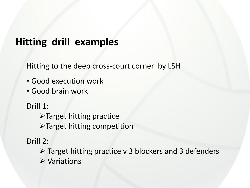#### **Hitting drill examples**

Hitting to the deep cross-court corner by LSH

- Good execution work
- Good brain work

Drill 1:

 $\blacktriangleright$  Target hitting practice

ØTarget hitting competition

Drill 2:

 $\triangleright$  Target hitting practice v 3 blockers and 3 defenders  $\triangleright$  Variations